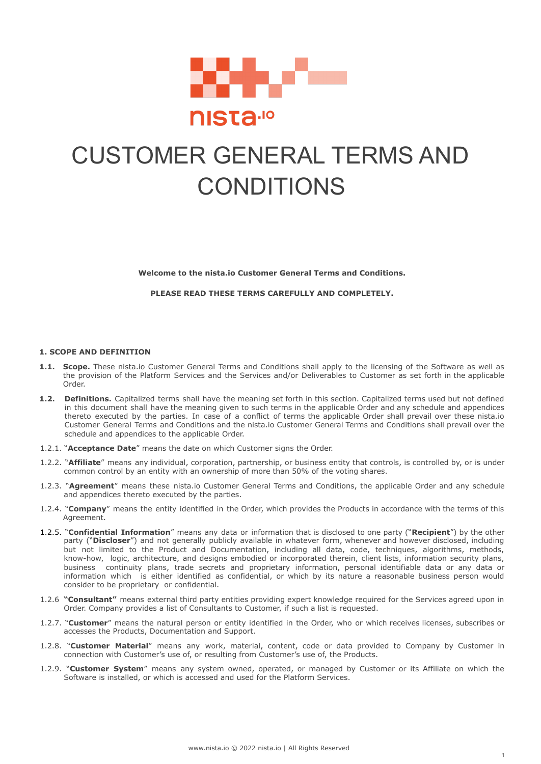

# CUSTOMER GENERAL TERMS AND **CONDITIONS**

**Welcome to the nista.io Customer General Terms and Conditions.**

**PLEASE READ THESE TERMS CAREFULLY AND COMPLETELY.**

# **1. SCOPE AND DEFINITION**

- **1.1. Scope.** These nista.io Customer General Terms and Conditions shall apply to the licensing of the Software as well as the provision of the Platform Services and the Services and/or Deliverables to Customer as set forth in the applicable Order.
- **1.2. Definitions.** Capitalized terms shall have the meaning set forth in this section. Capitalized terms used but not defined in this document shall have the meaning given to such terms in the applicable Order and any schedule and appendices thereto executed by the parties. In case of a conflict of terms the applicable Order shall prevail over these nista.io Customer General Terms and Conditions and the nista.io Customer General Terms and Conditions shall prevail over the schedule and appendices to the applicable Order.
- 1.2.1. "**Acceptance Date**" means the date on which Customer signs the Order.
- 1.2.2. "**Affiliate**" means any individual, corporation, partnership, or business entity that controls, is controlled by, or is under common control by an entity with an ownership of more than 50% of the voting shares.
- 1.2.3. "**Agreement**" means these nista.io Customer General Terms and Conditions, the applicable Order and any schedule and appendices thereto executed by the parties.
- 1.2.4. "**Company**" means the entity identified in the Order, which provides the Products in accordance with the terms of this Agreement.
- 1.2.5. "**Confidential Information**" means any data or information that is disclosed to one party ("**Recipient**") by the other party ("Discloser") and not generally publicly available in whatever form, whenever and however disclosed, including but not limited to the Product and Documentation, including all data, code, techniques, algorithms, methods, know-how, logic, architecture, and designs embodied or incorporated therein, client lists, information security plans, business continuity plans, trade secrets and proprietary information, personal identifiable data or any data or information which is either identified as confidential, or which by its nature a reasonable business person would consider to be proprietary or confidential.
- 1.2.6 **"Consultant"** means external third party entities providing expert knowledge required for the Services agreed upon in Order. Company provides a list of Consultants to Customer, if such a list is requested.
- 1.2.7. "**Customer**" means the natural person or entity identified in the Order, who or which receives licenses, subscribes or accesses the Products, Documentation and Support.
- 1.2.8. "**Customer Material**" means any work, material, content, code or data provided to Company by Customer in connection with Customer's use of, or resulting from Customer's use of, the Products.
- 1.2.9. "**Customer System**" means any system owned, operated, or managed by Customer or its Affiliate on which the Software is installed, or which is accessed and used for the Platform Services.

1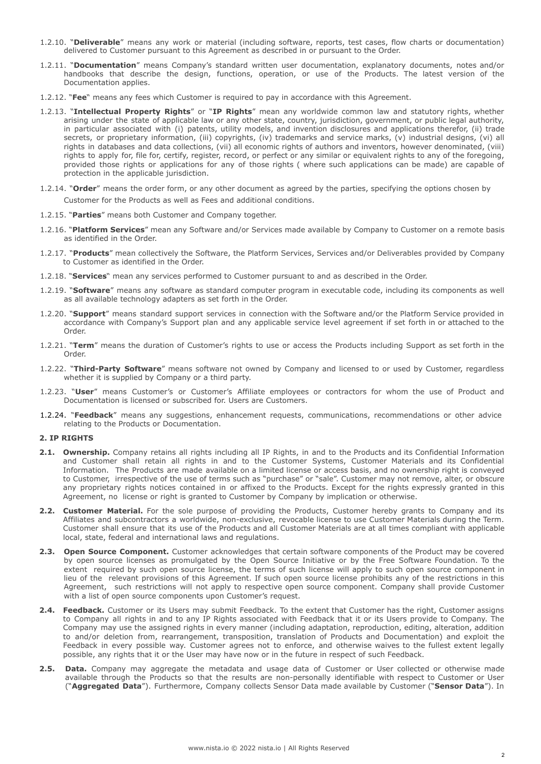- 1.2.10. "**Deliverable**" means any work or material (including software, reports, test cases, flow charts or documentation) delivered to Customer pursuant to this Agreement as described in or pursuant to the Order.
- 1.2.11. "**Documentation**" means Company's standard written user documentation, explanatory documents, notes and/or handbooks that describe the design, functions, operation, or use of the Products. The latest version of the Documentation applies.
- 1.2.12. "**Fee**" means any fees which Customer is required to pay in accordance with this Agreement.
- 1.2.13. "**Intellectual Property Rights**" or "**IP Rights**" mean any worldwide common law and statutory rights, whether arising under the state of applicable law or any other state, country, jurisdiction, government, or public legal authority, in particular associated with (i) patents, utility models, and invention disclosures and applications therefor, (ii) trade secrets, or proprietary information, (iii) copyrights, (iv) trademarks and service marks, (v) industrial designs, (vi) all rights in databases and data collections, (vii) all economic rights of authors and inventors, however denominated, (viii) rights to apply for, file for, certify, register, record, or perfect or any similar or equivalent rights to any of the foregoing, provided those rights or applications for any of those rights ( where such applications can be made) are capable of protection in the applicable jurisdiction.
- 1.2.14. "**Order**" means the order form, or any other document as agreed by the parties, specifying the options chosen by

Customer for the Products as well as Fees and additional conditions.

- 1.2.15. "**Parties**" means both Customer and Company together.
- 1.2.16. "**Platform Services**" mean any Software and/or Services made available by Company to Customer on a remote basis as identified in the Order.
- 1.2.17. "**Products**" mean collectively the Software, the Platform Services, Services and/or Deliverables provided by Company to Customer as identified in the Order.
- 1.2.18. "**Services**" mean any services performed to Customer pursuant to and as described in the Order.
- 1.2.19. "**Software**" means any software as standard computer program in executable code, including its components as well as all available technology adapters as set forth in the Order.
- 1.2.20. "**Support**" means standard support services in connection with the Software and/or the Platform Service provided in accordance with Company's Support plan and any applicable service level agreement if set forth in or attached to the Order.
- 1.2.21. "**Term**" means the duration of Customer's rights to use or access the Products including Support as set forth in the Order.
- 1.2.22. "**Third-Party Software**" means software not owned by Company and licensed to or used by Customer, regardless whether it is supplied by Company or a third party.
- 1.2.23. "**User**" means Customer's or Customer's Affiliate employees or contractors for whom the use of Product and Documentation is licensed or subscribed for. Users are Customers.
- 1.2.24. "**Feedback**" means any suggestions, enhancement requests, communications, recommendations or other advice relating to the Products or Documentation.

### **2. IP RIGHTS**

- **2.1. Ownership.** Company retains all rights including all IP Rights, in and to the Products and its Confidential Information and Customer shall retain all rights in and to the Customer Systems, Customer Materials and its Confidential Information. The Products are made available on a limited license or access basis, and no ownership right is conveyed to Customer, irrespective of the use of terms such as "purchase" or "sale". Customer may not remove, alter, or obscure any proprietary rights notices contained in or affixed to the Products. Except for the rights expressly granted in this Agreement, no license or right is granted to Customer by Company by implication or otherwise.
- **2.2. Customer Material.** For the sole purpose of providing the Products, Customer hereby grants to Company and its Affiliates and subcontractors a worldwide, non-exclusive, revocable license to use Customer Materials during the Term. Customer shall ensure that its use of the Products and all Customer Materials are at all times compliant with applicable local, state, federal and international laws and regulations.
- **2.3. Open Source Component.** Customer acknowledges that certain software components of the Product may be covered by open source licenses as promulgated by the Open Source Initiative or by the Free Software Foundation. To the extent required by such open source license, the terms of such license will apply to such open source component in lieu of the relevant provisions of this Agreement. If such open source license prohibits any of the restrictions in this Agreement, such restrictions will not apply to respective open source component. Company shall provide Customer with a list of open source components upon Customer's request.
- **2.4. Feedback.** Customer or its Users may submit Feedback. To the extent that Customer has the right, Customer assigns to Company all rights in and to any IP Rights associated with Feedback that it or its Users provide to Company. The Company may use the assigned rights in every manner (including adaptation, reproduction, editing, alteration, addition to and/or deletion from, rearrangement, transposition, translation of Products and Documentation) and exploit the Feedback in every possible way. Customer agrees not to enforce, and otherwise waives to the fullest extent legally possible, any rights that it or the User may have now or in the future in respect of such Feedback.
- **2.5. Data.** Company may aggregate the metadata and usage data of Customer or User collected or otherwise made available through the Products so that the results are non-personally identifiable with respect to Customer or User ("**Aggregated Data**"). Furthermore, Company collects Sensor Data made available by Customer ("**Sensor Data**"). In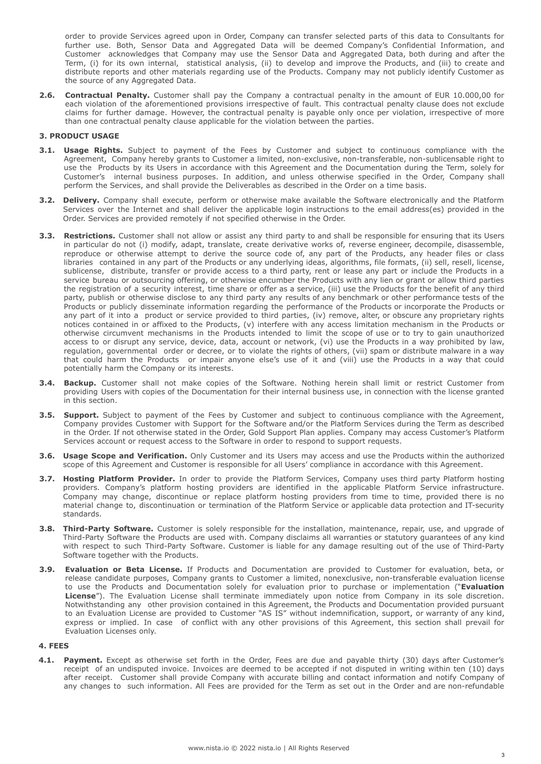order to provide Services agreed upon in Order, Company can transfer selected parts of this data to Consultants for further use. Both, Sensor Data and Aggregated Data will be deemed Company's Confidential Information, and Customer acknowledges that Company may use the Sensor Data and Aggregated Data, both during and after the Term, (i) for its own internal, statistical analysis, (ii) to develop and improve the Products, and (iii) to create and distribute reports and other materials regarding use of the Products. Company may not publicly identify Customer as the source of any Aggregated Data.

**2.6. Contractual Penalty.** Customer shall pay the Company a contractual penalty in the amount of EUR 10.000,00 for each violation of the aforementioned provisions irrespective of fault. This contractual penalty clause does not exclude claims for further damage. However, the contractual penalty is payable only once per violation, irrespective of more than one contractual penalty clause applicable for the violation between the parties.

### **3. PRODUCT USAGE**

- **3.1. Usage Rights.** Subject to payment of the Fees by Customer and subject to continuous compliance with the Agreement, Company hereby grants to Customer a limited, non-exclusive, non-transferable, non-sublicensable right to use the Products by its Users in accordance with this Agreement and the Documentation during the Term, solely for Customer's internal business purposes. In addition, and unless otherwise specified in the Order, Company shall perform the Services, and shall provide the Deliverables as described in the Order on a time basis.
- **3.2. Delivery.** Company shall execute, perform or otherwise make available the Software electronically and the Platform Services over the Internet and shall deliver the applicable login instructions to the email address(es) provided in the Order. Services are provided remotely if not specified otherwise in the Order.
- **3.3. Restrictions.** Customer shall not allow or assist any third party to and shall be responsible for ensuring that its Users in particular do not (i) modify, adapt, translate, create derivative works of, reverse engineer, decompile, disassemble, reproduce or otherwise attempt to derive the source code of, any part of the Products, any header files or class libraries contained in any part of the Products or any underlying ideas, algorithms, file formats, (ii) sell, resell, license, sublicense, distribute, transfer or provide access to a third party, rent or lease any part or include the Products in a service bureau or outsourcing offering, or otherwise encumber the Products with any lien or grant or allow third parties the registration of a security interest, time share or offer as a service, (iii) use the Products for the benefit of any third party, publish or otherwise disclose to any third party any results of any benchmark or other performance tests of the Products or publicly disseminate information regarding the performance of the Products or incorporate the Products or any part of it into a product or service provided to third parties, (iv) remove, alter, or obscure any proprietary rights notices contained in or affixed to the Products, (v) interfere with any access limitation mechanism in the Products or otherwise circumvent mechanisms in the Products intended to limit the scope of use or to try to gain unauthorized access to or disrupt any service, device, data, account or network, (vi) use the Products in a way prohibited by law, regulation, governmental order or decree, or to violate the rights of others, (vii) spam or distribute malware in a way that could harm the Products or impair anyone else's use of it and (viii) use the Products in a way that could potentially harm the Company or its interests.
- **3.4. Backup.** Customer shall not make copies of the Software. Nothing herein shall limit or restrict Customer from providing Users with copies of the Documentation for their internal business use, in connection with the license granted in this section.
- **3.5. Support.** Subject to payment of the Fees by Customer and subject to continuous compliance with the Agreement, Company provides Customer with Support for the Software and/or the Platform Services during the Term as described in the Order. If not otherwise stated in the Order, Gold Support Plan applies. Company may access Customer's Platform Services account or request access to the Software in order to respond to support requests.
- **3.6. Usage Scope and Verification.** Only Customer and its Users may access and use the Products within the authorized scope of this Agreement and Customer is responsible for all Users' compliance in accordance with this Agreement.
- **3.7. Hosting Platform Provider.** In order to provide the Platform Services, Company uses third party Platform hosting providers. Company's platform hosting providers are identified in the applicable Platform Service infrastructure. Company may change, discontinue or replace platform hosting providers from time to time, provided there is no material change to, discontinuation or termination of the Platform Service or applicable data protection and IT-security standards.
- **3.8. Third-Party Software.** Customer is solely responsible for the installation, maintenance, repair, use, and upgrade of Third-Party Software the Products are used with. Company disclaims all warranties or statutory guarantees of any kind with respect to such Third-Party Software. Customer is liable for any damage resulting out of the use of Third-Party Software together with the Products.
- **3.9. Evaluation or Beta License.** If Products and Documentation are provided to Customer for evaluation, beta, or release candidate purposes, Company grants to Customer a limited, nonexclusive, non-transferable evaluation license to use the Products and Documentation solely for evaluation prior to purchase or implementation ("**Evaluation License**"). The Evaluation License shall terminate immediately upon notice from Company in its sole discretion. Notwithstanding any other provision contained in this Agreement, the Products and Documentation provided pursuant to an Evaluation License are provided to Customer "AS IS" without indemnification, support, or warranty of any kind, express or implied. In case of conflict with any other provisions of this Agreement, this section shall prevail for Evaluation Licenses only.

#### **4. FEES**

**4.1. Payment.** Except as otherwise set forth in the Order, Fees are due and payable thirty (30) days after Customer's receipt of an undisputed invoice. Invoices are deemed to be accepted if not disputed in writing within ten (10) days after receipt. Customer shall provide Company with accurate billing and contact information and notify Company of any changes to such information. All Fees are provided for the Term as set out in the Order and are non-refundable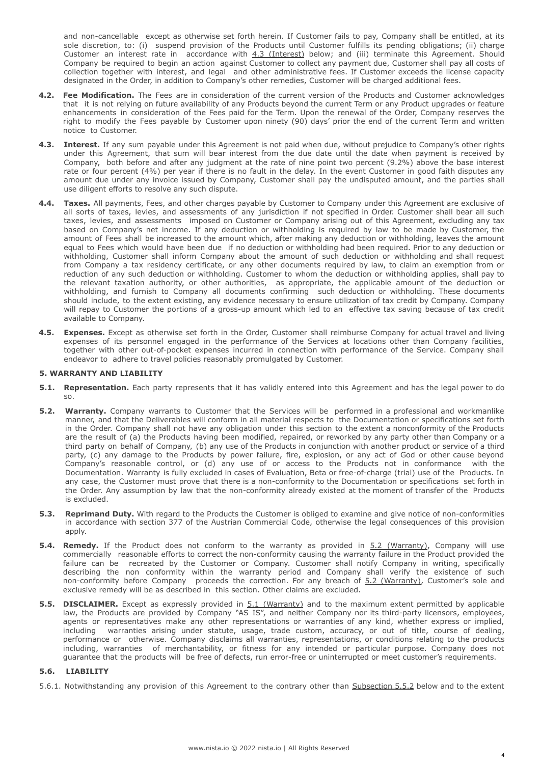and non-cancellable except as otherwise set forth herein. If Customer fails to pay, Company shall be entitled, at its sole discretion, to: (i) suspend provision of the Products until Customer fulfills its pending obligations; (ii) charge Customer an interest rate in accordance with 4.3 (Interest) below; and (iii) terminate this Agreement. Should Company be required to begin an action against Customer to collect any payment due, Customer shall pay all costs of collection together with interest, and legal and other administrative fees. If Customer exceeds the license capacity designated in the Order, in addition to Company's other remedies, Customer will be charged additional fees.

- **4.2. Fee Modification.** The Fees are in consideration of the current version of the Products and Customer acknowledges that it is not relying on future availability of any Products beyond the current Term or any Product upgrades or feature enhancements in consideration of the Fees paid for the Term. Upon the renewal of the Order, Company reserves the right to modify the Fees payable by Customer upon ninety (90) days' prior the end of the current Term and written notice to Customer.
- **4.3. Interest.** If any sum payable under this Agreement is not paid when due, without prejudice to Company's other rights under this Agreement, that sum will bear interest from the due date until the date when payment is received by Company, both before and after any judgment at the rate of nine point two percent (9.2%) above the base interest rate or four percent (4%) per year if there is no fault in the delay. In the event Customer in good faith disputes any amount due under any invoice issued by Company, Customer shall pay the undisputed amount, and the parties shall use diligent efforts to resolve any such dispute.
- **4.4. Taxes.** All payments, Fees, and other charges payable by Customer to Company under this Agreement are exclusive of all sorts of taxes, levies, and assessments of any jurisdiction if not specified in Order. Customer shall bear all such taxes, levies, and assessments imposed on Customer or Company arising out of this Agreement, excluding any tax based on Company's net income. If any deduction or withholding is required by law to be made by Customer, the amount of Fees shall be increased to the amount which, after making any deduction or withholding, leaves the amount equal to Fees which would have been due if no deduction or withholding had been required. Prior to any deduction or withholding, Customer shall inform Company about the amount of such deduction or withholding and shall request from Company a tax residency certificate, or any other documents required by law, to claim an exemption from or reduction of any such deduction or withholding. Customer to whom the deduction or withholding applies, shall pay to the relevant taxation authority, or other authorities, as appropriate, the applicable amount of the deduction or withholding, and furnish to Company all documents confirming such deduction or withholding. These documents should include, to the extent existing, any evidence necessary to ensure utilization of tax credit by Company. Company will repay to Customer the portions of a gross-up amount which led to an effective tax saving because of tax credit available to Company.
- **4.5. Expenses.** Except as otherwise set forth in the Order, Customer shall reimburse Company for actual travel and living expenses of its personnel engaged in the performance of the Services at locations other than Company facilities, together with other out-of-pocket expenses incurred in connection with performance of the Service. Company shall endeavor to adhere to travel policies reasonably promulgated by Customer.

#### **5. WARRANTY AND LIABILITY**

- **5.1. Representation.** Each party represents that it has validly entered into this Agreement and has the legal power to do so.
- **5.2. Warranty.** Company warrants to Customer that the Services will be performed in a professional and workmanlike manner, and that the Deliverables will conform in all material respects to the Documentation or specifications set forth in the Order. Company shall not have any obligation under this section to the extent a nonconformity of the Products are the result of (a) the Products having been modified, repaired, or reworked by any party other than Company or a third party on behalf of Company, (b) any use of the Products in conjunction with another product or service of a third party, (c) any damage to the Products by power failure, fire, explosion, or any act of God or other cause beyond Company's reasonable control, or (d) any use of or access to the Products not in conformance with the Documentation. Warranty is fully excluded in cases of Evaluation, Beta or free-of-charge (trial) use of the Products. In any case, the Customer must prove that there is a non-conformity to the Documentation or specifications set forth in the Order. Any assumption by law that the non-conformity already existed at the moment of transfer of the Products is excluded.
- **5.3. Reprimand Duty.** With regard to the Products the Customer is obliged to examine and give notice of non-conformities in accordance with section 377 of the Austrian Commercial Code, otherwise the legal consequences of this provision apply.
- **5.4. Remedy.** If the Product does not conform to the warranty as provided in 5.2 (Warranty), Company will use commercially reasonable efforts to correct the non-conformity causing the warranty failure in the Product provided the failure can be recreated by the Customer or Company. Customer shall notify Company in writing, specifically describing the non conformity within the warranty period and Company shall verify the existence of such non-conformity before Company proceeds the correction. For any breach of 5.2 (Warranty), Customer's sole and exclusive remedy will be as described in this section. Other claims are excluded.
- **5.5. DISCLAIMER.** Except as expressly provided in 5.1 (Warranty) and to the maximum extent permitted by applicable law, the Products are provided by Company "AS IS", and neither Company nor its third-party licensors, employees, agents or representatives make any other representations or warranties of any kind, whether express or implied, including warranties arising under statute, usage, trade custom, accuracy, or out of title, course of dealing, performance or otherwise. Company disclaims all warranties, representations, or conditions relating to the products including, warranties of merchantability, or fitness for any intended or particular purpose. Company does not guarantee that the products will be free of defects, run error-free or uninterrupted or meet customer's requirements.

# **5.6. LIABILITY**

5.6.1. Notwithstanding any provision of this Agreement to the contrary other than Subsection 5.5.2 below and to the extent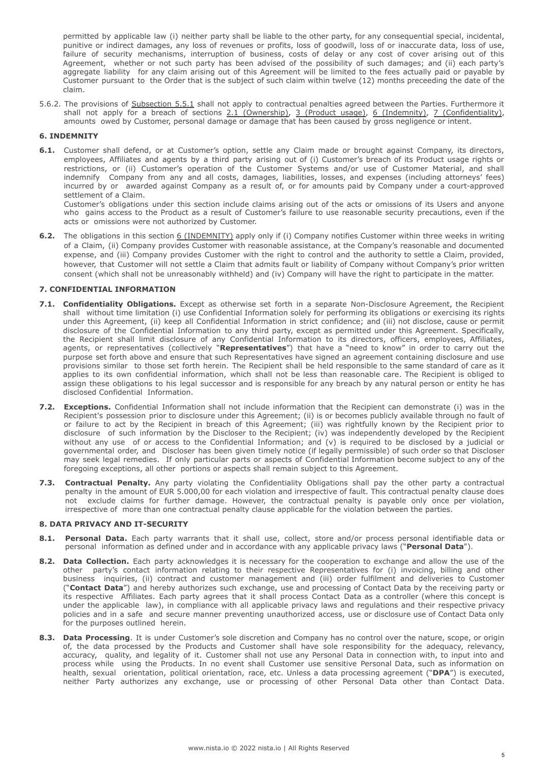permitted by applicable law (i) neither party shall be liable to the other party, for any consequential special, incidental, punitive or indirect damages, any loss of revenues or profits, loss of goodwill, loss of or inaccurate data, loss of use, failure of security mechanisms, interruption of business, costs of delay or any cost of cover arising out of this Agreement, whether or not such party has been advised of the possibility of such damages; and (ii) each party's aggregate liability for any claim arising out of this Agreement will be limited to the fees actually paid or payable by Customer pursuant to the Order that is the subject of such claim within twelve (12) months preceeding the date of the claim.

5.6.2. The provisions of Subsection 5.5.1 shall not apply to contractual penalties agreed between the Parties. Furthermore it shall not apply for a breach of sections 2.1 (Ownership), 3 (Product usage), 6 (Indemnity), 7 (Confidentiality), amounts owed by Customer, personal damage or damage that has been caused by gross negligence or intent.

# **6. INDEMNITY**

**6.1.** Customer shall defend, or at Customer's option, settle any Claim made or brought against Company, its directors, employees, Affiliates and agents by a third party arising out of (i) Customer's breach of its Product usage rights or restrictions, or (ii) Customer's operation of the Customer Systems and/or use of Customer Material, and shall indemnify Company from any and all costs, damages, liabilities, losses, and expenses (including attorneys' fees) incurred by or awarded against Company as a result of, or for amounts paid by Company under a court-approved settlement of a Claim.

Customer's obligations under this section include claims arising out of the acts or omissions of its Users and anyone who gains access to the Product as a result of Customer's failure to use reasonable security precautions, even if the acts or omissions were not authorized by Customer.

**6.2.** The obligations in this section 6 (INDEMNITY) apply only if (i) Company notifies Customer within three weeks in writing of a Claim, (ii) Company provides Customer with reasonable assistance, at the Company's reasonable and documented expense, and (iii) Company provides Customer with the right to control and the authority to settle a Claim, provided, however, that Customer will not settle a Claim that admits fault or liability of Company without Company's prior written consent (which shall not be unreasonably withheld) and (iv) Company will have the right to participate in the matter.

# **7. CONFIDENTIAL INFORMATION**

- **7.1. Confidentiality Obligations.** Except as otherwise set forth in a separate Non-Disclosure Agreement, the Recipient shall without time limitation (i) use Confidential Information solely for performing its obligations or exercising its rights under this Agreement, (ii) keep all Confidential Information in strict confidence; and (iii) not disclose, cause or permit disclosure of the Confidential Information to any third party, except as permitted under this Agreement. Specifically, the Recipient shall limit disclosure of any Confidential Information to its directors, officers, employees, Affiliates, agents, or representatives (collectively "**Representatives**") that have a "need to know" in order to carry out the purpose set forth above and ensure that such Representatives have signed an agreement containing disclosure and use provisions similar to those set forth herein. The Recipient shall be held responsible to the same standard of care as it applies to its own confidential information, which shall not be less than reasonable care. The Recipient is obliged to assign these obligations to his legal successor and is responsible for any breach by any natural person or entity he has disclosed Confidential Information.
- **7.2. Exceptions.** Confidential Information shall not include information that the Recipient can demonstrate (i) was in the Recipient's possession prior to disclosure under this Agreement; (ii) is or becomes publicly available through no fault of or failure to act by the Recipient in breach of this Agreement; (iii) was rightfully known by the Recipient prior to disclosure of such information by the Discloser to the Recipient; (iv) was independently developed by the Recipient without any use of or access to the Confidential Information; and (v) is required to be disclosed by a judicial or governmental order, and Discloser has been given timely notice (if legally permissible) of such order so that Discloser may seek legal remedies. If only particular parts or aspects of Confidential Information become subject to any of the foregoing exceptions, all other portions or aspects shall remain subject to this Agreement.
- **7.3. Contractual Penalty.** Any party violating the Confidentiality Obligations shall pay the other party a contractual penalty in the amount of EUR 5.000,00 for each violation and irrespective of fault. This contractual penalty clause does not exclude claims for further damage. However, the contractual penalty is payable only once per violation, irrespective of more than one contractual penalty clause applicable for the violation between the parties.

# **8. DATA PRIVACY AND IT-SECURITY**

- **8.1. Personal Data.** Each party warrants that it shall use, collect, store and/or process personal identifiable data or personal information as defined under and in accordance with any applicable privacy laws ("**Personal Data**").
- **8.2. Data Collection.** Each party acknowledges it is necessary for the cooperation to exchange and allow the use of the other party's contact information relating to their respective Representatives for (i) invoicing, billing and other business inquiries, (ii) contract and customer management and (iii) order fulfilment and deliveries to Customer ("**Contact Data**") and hereby authorizes such exchange, use and processing of Contact Data by the receiving party or its respective Affiliates. Each party agrees that it shall process Contact Data as a controller (where this concept is under the applicable law), in compliance with all applicable privacy laws and regulations and their respective privacy policies and in a safe and secure manner preventing unauthorized access, use or disclosure use of Contact Data only for the purposes outlined herein.
- **8.3. Data Processing**. It is under Customer's sole discretion and Company has no control over the nature, scope, or origin of, the data processed by the Products and Customer shall have sole responsibility for the adequacy, relevancy, accuracy, quality, and legality of it. Customer shall not use any Personal Data in connection with, to input into and process while using the Products. In no event shall Customer use sensitive Personal Data, such as information on health, sexual orientation, political orientation, race, etc. Unless a data processing agreement ("**DPA**") is executed, neither Party authorizes any exchange, use or processing of other Personal Data other than Contact Data.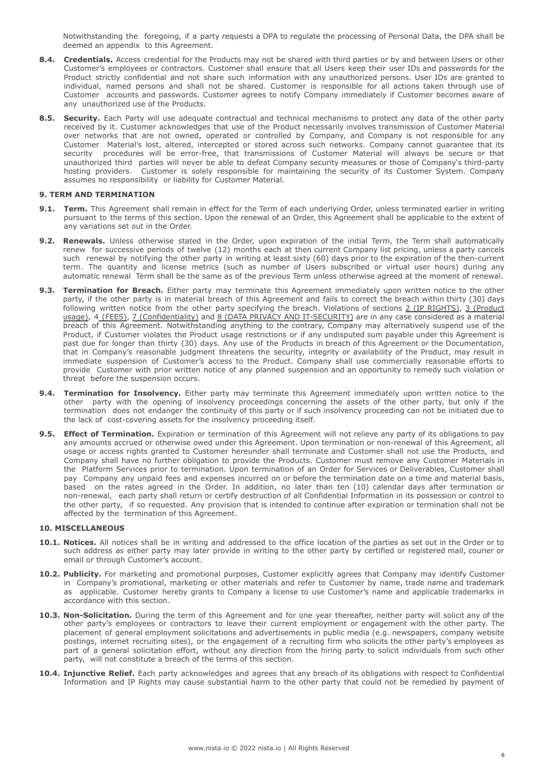Notwithstanding the foregoing, if a party requests a DPA to regulate the processing of Personal Data, the DPA shall be deemed an appendix to this Agreement.

- **8.4. Credentials.** Access credential for the Products may not be shared with third parties or by and between Users or other Customer's employees or contractors. Customer shall ensure that all Users keep their user IDs and passwords for the Product strictly confidential and not share such information with any unauthorized persons. User IDs are granted to individual, named persons and shall not be shared. Customer is responsible for all actions taken through use of Customer accounts and passwords. Customer agrees to notify Company immediately if Customer becomes aware of any unauthorized use of the Products.
- **8.5. Security.** Each Party will use adequate contractual and technical mechanisms to protect any data of the other party received by it. Customer acknowledges that use of the Product necessarily involves transmission of Customer Material over networks that are not owned, operated or controlled by Company, and Company is not responsible for any Customer Material's lost, altered, intercepted or stored across such networks. Company cannot guarantee that its security procedures will be error-free, that transmissions of Customer Material will always be secure or that unauthorized third parties will never be able to defeat Company security measures or those of Company's third-party hosting providers. Customer is solely responsible for maintaining the security of its Customer System. Company assumes no responsibility or liability for Customer Material.

# **9. TERM AND TERMINATION**

- **9.1. Term.** This Agreement shall remain in effect for the Term of each underlying Order, unless terminated earlier in writing pursuant to the terms of this section. Upon the renewal of an Order, this Agreement shall be applicable to the extent of any variations set out in the Order.
- **9.2. Renewals.** Unless otherwise stated in the Order, upon expiration of the initial Term, the Term shall automatically renew for successive periods of twelve (12) months each at then current Company list pricing, unless a party cancels such renewal by notifying the other party in writing at least sixty (60) days prior to the expiration of the then-current term. The quantity and license metrics (such as number of Users subscribed or virtual user hours) during any automatic renewal Term shall be the same as of the previous Term unless otherwise agreed at the moment of renewal.
- **9.3. Termination for Breach.** Either party may terminate this Agreement immediately upon written notice to the other party, if the other party is in material breach of this Agreement and fails to correct the breach within thirty (30) days following written notice from the other party specifying the breach. Violations of sections 2 (IP RIGHTS), 3 (Product usage), 4 (FEES), 7 (Confidentiality) and 8 (DATA PRIVACY AND IT-SECURITY) are in any case considered as a material breach of this Agreement. Notwithstanding anything to the contrary, Company may alternatively suspend use of the Product, if Customer violates the Product usage restrictions or if any undisputed sum payable under this Agreement is past due for longer than thirty (30) days. Any use of the Products in breach of this Agreement or the Documentation, that in Company's reasonable judgment threatens the security, integrity or availability of the Product, may result in immediate suspension of Customer's access to the Product. Company shall use commercially reasonable efforts to provide Customer with prior written notice of any planned suspension and an opportunity to remedy such violation or threat before the suspension occurs.
- **9.4. Termination for Insolvency.** Either party may terminate this Agreement immediately upon written notice to the other party with the opening of insolvency proceedings concerning the assets of the other party, but only if the termination does not endanger the continuity of this party or if such insolvency proceeding can not be initiated due to the lack of cost-covering assets for the insolvency proceeding itself.
- **9.5. Effect of Termination.** Expiration or termination of this Agreement will not relieve any party of its obligations to pay any amounts accrued or otherwise owed under this Agreement. Upon termination or non-renewal of this Agreement, all usage or access rights granted to Customer hereunder shall terminate and Customer shall not use the Products, and Company shall have no further obligation to provide the Products. Customer must remove any Customer Materials in the Platform Services prior to termination. Upon termination of an Order for Services or Deliverables, Customer shall pay Company any unpaid fees and expenses incurred on or before the termination date on a time and material basis, based on the rates agreed in the Order. In addition, no later than ten (10) calendar days after termination or non-renewal, each party shall return or certify destruction of all Confidential Information in its possession or control to the other party, if so requested. Any provision that is intended to continue after expiration or termination shall not be affected by the termination of this Agreement.

# **10. MISCELLANEOUS**

- **10.1. Notices.** All notices shall be in writing and addressed to the office location of the parties as set out in the Order or to such address as either party may later provide in writing to the other party by certified or registered mail, courier or email or through Customer's account.
- **10.2. Publicity.** For marketing and promotional purposes, Customer explicitly agrees that Company may identify Customer in Company's promotional, marketing or other materials and refer to Customer by name, trade name and trademark as applicable. Customer hereby grants to Company a license to use Customer's name and applicable trademarks in accordance with this section.
- **10.3. Non-Solicitation.** During the term of this Agreement and for one year thereafter, neither party will solicit any of the other party's employees or contractors to leave their current employment or engagement with the other party. The placement of general employment solicitations and advertisements in public media (e.g. newspapers, company website postings, internet recruiting sites), or the engagement of a recruiting firm who solicits the other party's employees as part of a general solicitation effort, without any direction from the hiring party to solicit individuals from such other party, will not constitute a breach of the terms of this section.
- **10.4. Injunctive Relief.** Each party acknowledges and agrees that any breach of its obligations with respect to Confidential Information and IP Rights may cause substantial harm to the other party that could not be remedied by payment of